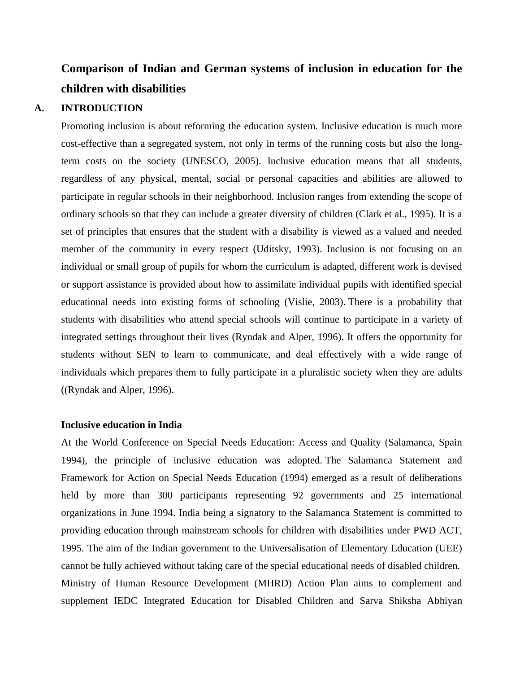# **Comparison of Indian and German systems of inclusion in education for the children with disabilities**

#### **A. INTRODUCTION**

Promoting inclusion is about reforming the education system. Inclusive education is much more cost-effective than a segregated system, not only in terms of the running costs but also the longterm costs on the society (UNESCO, 2005). Inclusive education means that all students, regardless of any physical, mental, social or personal capacities and abilities are allowed to participate in regular schools in their neighborhood. Inclusion ranges from extending the scope of ordinary schools so that they can include a greater diversity of children (Clark et al., 1995). It is a set of principles that ensures that the student with a disability is viewed as a valued and needed member of the community in every respect (Uditsky, 1993). Inclusion is not focusing on an individual or small group of pupils for whom the curriculum is adapted, different work is devised or support assistance is provided about how to assimilate individual pupils with identified special educational needs into existing forms of schooling (Vislie, 2003). There is a probability that students with disabilities who attend special schools will continue to participate in a variety of integrated settings throughout their lives (Ryndak and Alper, 1996). It offers the opportunity for students without SEN to learn to communicate, and deal effectively with a wide range of individuals which prepares them to fully participate in a pluralistic society when they are adults ((Ryndak and Alper, 1996).

#### **Inclusive education in India**

At the World Conference on Special Needs Education: Access and Quality (Salamanca, Spain 1994), the principle of inclusive education was adopted. The Salamanca Statement and Framework for Action on Special Needs Education (1994) emerged as a result of deliberations held by more than 300 participants representing 92 governments and 25 international organizations in June 1994. India being a signatory to the Salamanca Statement is committed to providing education through mainstream schools for children with disabilities under PWD ACT, 1995. The aim of the Indian government to the Universalisation of Elementary Education (UEE) cannot be fully achieved without taking care of the special educational needs of disabled children. Ministry of Human Resource Development (MHRD) Action Plan aims to complement and supplement IEDC Integrated Education for Disabled Children and Sarva Shiksha Abhiyan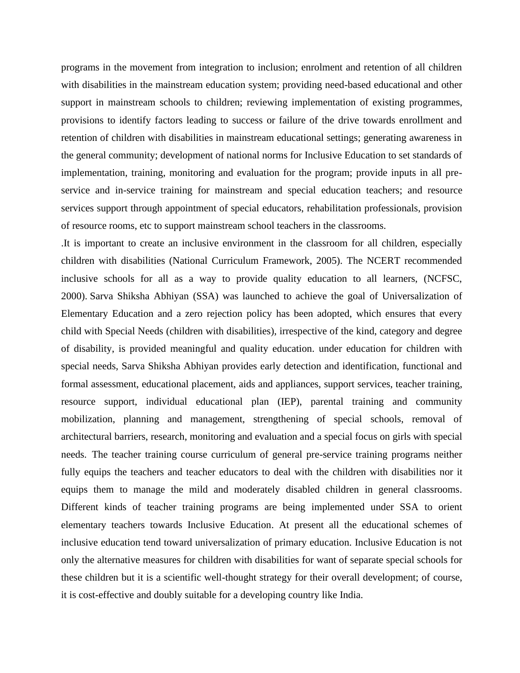programs in the movement from integration to inclusion; enrolment and retention of all children with disabilities in the mainstream education system; providing need-based educational and other support in mainstream schools to children; reviewing implementation of existing programmes, provisions to identify factors leading to success or failure of the drive towards enrollment and retention of children with disabilities in mainstream educational settings; generating awareness in the general community; development of national norms for Inclusive Education to set standards of implementation, training, monitoring and evaluation for the program; provide inputs in all preservice and in-service training for mainstream and special education teachers; and resource services support through appointment of special educators, rehabilitation professionals, provision of resource rooms, etc to support mainstream school teachers in the classrooms.

.It is important to create an inclusive environment in the classroom for all children, especially children with disabilities (National Curriculum Framework, 2005). The NCERT recommended inclusive schools for all as a way to provide quality education to all learners, (NCFSC, 2000). Sarva Shiksha Abhiyan (SSA) was launched to achieve the goal of Universalization of Elementary Education and a zero rejection policy has been adopted, which ensures that every child with Special Needs (children with disabilities), irrespective of the kind, category and degree of disability, is provided meaningful and quality education. under education for children with special needs, Sarva Shiksha Abhiyan provides early detection and identification, functional and formal assessment, educational placement, aids and appliances, support services, teacher training, resource support, individual educational plan (IEP), parental training and community mobilization, planning and management, strengthening of special schools, removal of architectural barriers, research, monitoring and evaluation and a special focus on girls with special needs. The teacher training course curriculum of general pre-service training programs neither fully equips the teachers and teacher educators to deal with the children with disabilities nor it equips them to manage the mild and moderately disabled children in general classrooms. Different kinds of teacher training programs are being implemented under SSA to orient elementary teachers towards Inclusive Education. At present all the educational schemes of inclusive education tend toward universalization of primary education. Inclusive Education is not only the alternative measures for children with disabilities for want of separate special schools for these children but it is a scientific well-thought strategy for their overall development; of course, it is cost-effective and doubly suitable for a developing country like India.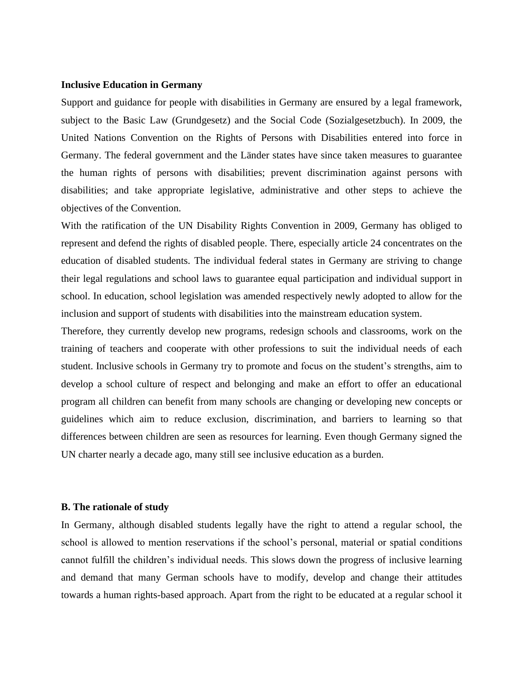#### **Inclusive Education in Germany**

Support and guidance for people with disabilities in Germany are ensured by a legal framework, subject to the Basic Law (Grundgesetz) and the Social Code (Sozialgesetzbuch). In 2009, the United Nations Convention on the Rights of Persons with Disabilities entered into force in Germany. The federal government and the Länder states have since taken measures to guarantee the human rights of persons with disabilities; prevent discrimination against persons with disabilities; and take appropriate legislative, administrative and other steps to achieve the objectives of the Convention.

With the ratification of the UN Disability Rights Convention in 2009, Germany has obliged to represent and defend the rights of disabled people. There, especially article 24 concentrates on the education of disabled students. The individual federal states in Germany are striving to change their legal regulations and school laws to guarantee equal participation and individual support in school. In education, school legislation was amended respectively newly adopted to allow for the inclusion and support of students with disabilities into the mainstream education system.

Therefore, they currently develop new programs, redesign schools and classrooms, work on the training of teachers and cooperate with other professions to suit the individual needs of each student. Inclusive schools in Germany try to promote and focus on the student's strengths, aim to develop a school culture of respect and belonging and make an effort to offer an educational program all children can benefit from many schools are changing or developing new concepts or guidelines which aim to reduce exclusion, discrimination, and barriers to learning so that differences between children are seen as resources for learning. Even though Germany signed the UN charter nearly a decade ago, many still see inclusive education as a burden.

#### **B. The rationale of study**

In Germany, although disabled students legally have the right to attend a regular school, the school is allowed to mention reservations if the school's personal, material or spatial conditions cannot fulfill the children's individual needs. This slows down the progress of inclusive learning and demand that many German schools have to modify, develop and change their attitudes towards a human rights-based approach. Apart from the right to be educated at a regular school it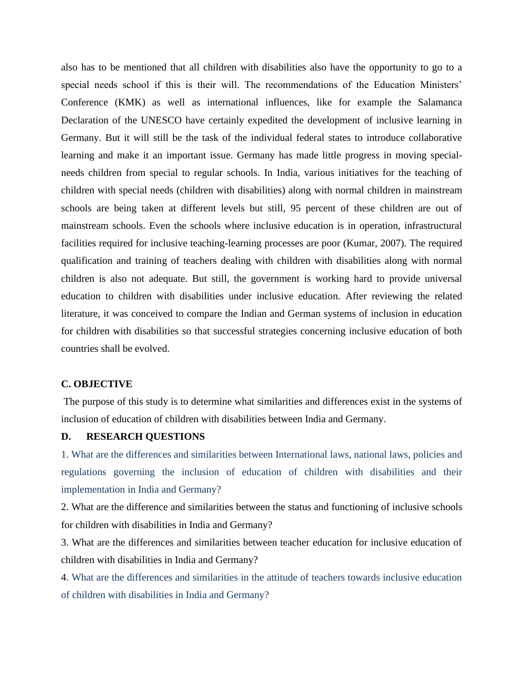also has to be mentioned that all children with disabilities also have the opportunity to go to a special needs school if this is their will. The recommendations of the Education Ministers' Conference (KMK) as well as international influences, like for example the Salamanca Declaration of the UNESCO have certainly expedited the development of inclusive learning in Germany. But it will still be the task of the individual federal states to introduce collaborative learning and make it an important issue. Germany has made little progress in moving specialneeds children from special to regular schools. In India, various initiatives for the teaching of children with special needs (children with disabilities) along with normal children in mainstream schools are being taken at different levels but still, 95 percent of these children are out of mainstream schools. Even the schools where inclusive education is in operation, infrastructural facilities required for inclusive teaching-learning processes are poor (Kumar, 2007). The required qualification and training of teachers dealing with children with disabilities along with normal children is also not adequate. But still, the government is working hard to provide universal education to children with disabilities under inclusive education. After reviewing the related literature, it was conceived to compare the Indian and German systems of inclusion in education for children with disabilities so that successful strategies concerning inclusive education of both countries shall be evolved.

#### **C. OBJECTIVE**

The purpose of this study is to determine what similarities and differences exist in the systems of inclusion of education of children with disabilities between India and Germany.

# **D. RESEARCH QUESTIONS**

1. What are the differences and similarities between International laws, national laws, policies and regulations governing the inclusion of education of children with disabilities and their implementation in India and Germany?

2. What are the difference and similarities between the status and functioning of inclusive schools for children with disabilities in India and Germany?

3. What are the differences and similarities between teacher education for inclusive education of children with disabilities in India and Germany?

4. What are the differences and similarities in the attitude of teachers towards inclusive education of children with disabilities in India and Germany?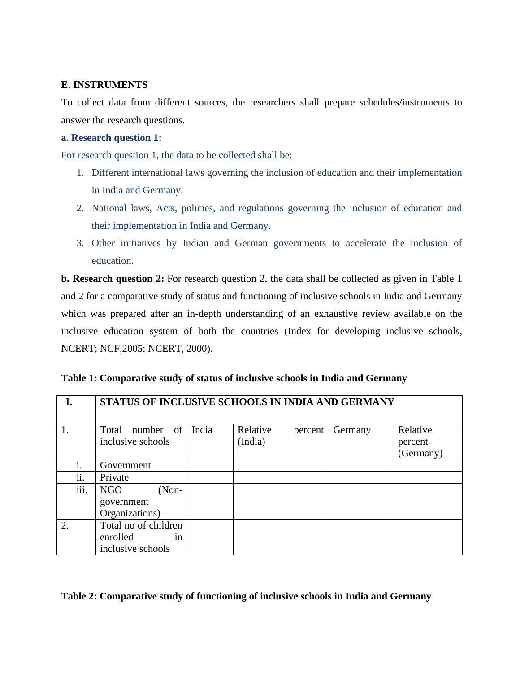# **E. INSTRUMENTS**

To collect data from different sources, the researchers shall prepare schedules/instruments to answer the research questions.

# **a. Research question 1:**

For research question 1, the data to be collected shall be:

- 1. Different international laws governing the inclusion of education and their implementation in India and Germany.
- 2. National laws, Acts, policies, and regulations governing the inclusion of education and their implementation in India and Germany.
- 3. Other initiatives by Indian and German governments to accelerate the inclusion of education.

**b. Research question 2:** For research question 2, the data shall be collected as given in Table 1 and 2 for a comparative study of status and functioning of inclusive schools in India and Germany which was prepared after an in-depth understanding of an exhaustive review available on the inclusive education system of both the countries (Index for developing inclusive schools, NCERT; NCF,2005; NCERT, 2000).

| Ι.   | STATUS OF INCLUSIVE SCHOOLS IN INDIA AND GERMANY            |       |                     |         |         |                                  |  |  |
|------|-------------------------------------------------------------|-------|---------------------|---------|---------|----------------------------------|--|--|
| 1.   | of<br>number<br>Total<br>inclusive schools                  | India | Relative<br>(India) | percent | Germany | Relative<br>percent<br>(Germany) |  |  |
| İ.   | Government                                                  |       |                     |         |         |                                  |  |  |
| ii.  | Private                                                     |       |                     |         |         |                                  |  |  |
| iii. | NGO<br>$(Non-$<br>government<br>Organizations)              |       |                     |         |         |                                  |  |  |
| 2.   | Total no of children<br>enrolled<br>in<br>inclusive schools |       |                     |         |         |                                  |  |  |

# **Table 2: Comparative study of functioning of inclusive schools in India and Germany**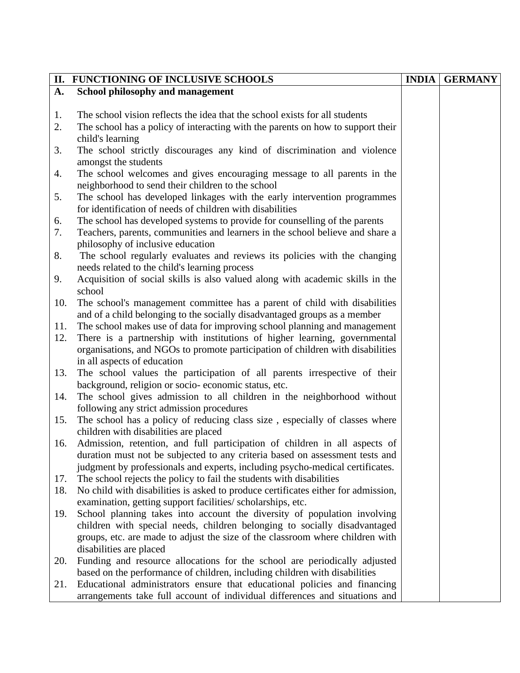|     | II. FUNCTIONING OF INCLUSIVE SCHOOLS                                              | <b>INDIA</b> | <b>GERMANY</b> |
|-----|-----------------------------------------------------------------------------------|--------------|----------------|
| A.  | <b>School philosophy and management</b>                                           |              |                |
|     |                                                                                   |              |                |
| 1.  | The school vision reflects the idea that the school exists for all students       |              |                |
| 2.  | The school has a policy of interacting with the parents on how to support their   |              |                |
|     | child's learning                                                                  |              |                |
| 3.  | The school strictly discourages any kind of discrimination and violence           |              |                |
|     | amongst the students                                                              |              |                |
| 4.  | The school welcomes and gives encouraging message to all parents in the           |              |                |
|     | neighborhood to send their children to the school                                 |              |                |
| 5.  | The school has developed linkages with the early intervention programmes          |              |                |
|     | for identification of needs of children with disabilities                         |              |                |
| 6.  | The school has developed systems to provide for counselling of the parents        |              |                |
| 7.  | Teachers, parents, communities and learners in the school believe and share a     |              |                |
|     | philosophy of inclusive education                                                 |              |                |
| 8.  | The school regularly evaluates and reviews its policies with the changing         |              |                |
|     | needs related to the child's learning process                                     |              |                |
| 9.  | Acquisition of social skills is also valued along with academic skills in the     |              |                |
|     | school                                                                            |              |                |
| 10. | The school's management committee has a parent of child with disabilities         |              |                |
|     | and of a child belonging to the socially disadvantaged groups as a member         |              |                |
| 11. | The school makes use of data for improving school planning and management         |              |                |
| 12. | There is a partnership with institutions of higher learning, governmental         |              |                |
|     | organisations, and NGOs to promote participation of children with disabilities    |              |                |
|     | in all aspects of education                                                       |              |                |
| 13. | The school values the participation of all parents irrespective of their          |              |                |
|     | background, religion or socio-economic status, etc.                               |              |                |
| 14. | The school gives admission to all children in the neighborhood without            |              |                |
|     | following any strict admission procedures                                         |              |                |
| 15. | The school has a policy of reducing class size, especially of classes where       |              |                |
|     | children with disabilities are placed                                             |              |                |
| 16. | Admission, retention, and full participation of children in all aspects of        |              |                |
|     | duration must not be subjected to any criteria based on assessment tests and      |              |                |
|     | judgment by professionals and experts, including psycho-medical certificates.     |              |                |
| 17. | The school rejects the policy to fail the students with disabilities              |              |                |
| 18. | No child with disabilities is asked to produce certificates either for admission, |              |                |
|     | examination, getting support facilities/scholarships, etc.                        |              |                |
| 19. | School planning takes into account the diversity of population involving          |              |                |
|     | children with special needs, children belonging to socially disadvantaged         |              |                |
|     | groups, etc. are made to adjust the size of the classroom where children with     |              |                |
|     | disabilities are placed                                                           |              |                |
| 20. | Funding and resource allocations for the school are periodically adjusted         |              |                |
|     | based on the performance of children, including children with disabilities        |              |                |
| 21. | Educational administrators ensure that educational policies and financing         |              |                |
|     | arrangements take full account of individual differences and situations and       |              |                |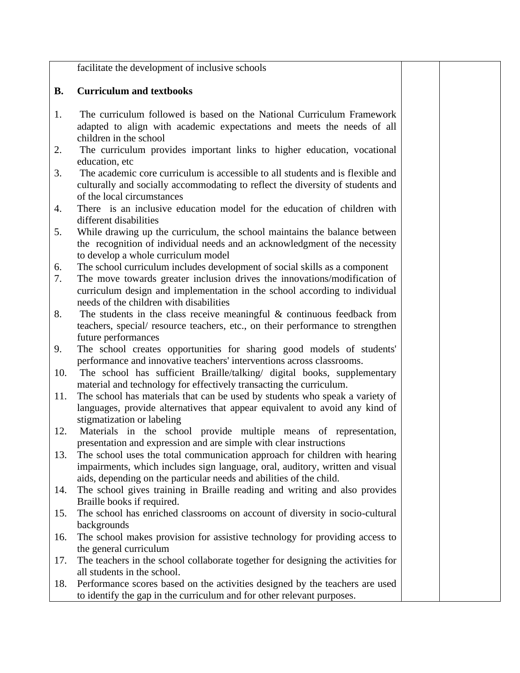facilitate the development of inclusive schools

# **B. Curriculum and textbooks**

- 1. The curriculum followed is based on the National Curriculum Framework adapted to align with academic expectations and meets the needs of all children in the school
- 2. The curriculum provides important links to higher education, vocational education, etc
- 3. The academic core curriculum is accessible to all students and is flexible and culturally and socially accommodating to reflect the diversity of students and of the local circumstances
- 4. There is an inclusive education model for the education of children with different disabilities
- 5. While drawing up the curriculum, the school maintains the balance between the recognition of individual needs and an acknowledgment of the necessity to develop a whole curriculum model
- 6. The school curriculum includes development of social skills as a component
- 7. The move towards greater inclusion drives the innovations/modification of curriculum design and implementation in the school according to individual needs of the children with disabilities
- 8. The students in the class receive meaningful  $\&$  continuous feedback from teachers, special/ resource teachers, etc., on their performance to strengthen future performances
- 9. The school creates opportunities for sharing good models of students' performance and innovative teachers' interventions across classrooms.
- 10. The school has sufficient Braille/talking/ digital books, supplementary material and technology for effectively transacting the curriculum.
- 11. The school has materials that can be used by students who speak a variety of languages, provide alternatives that appear equivalent to avoid any kind of stigmatization or labeling
- 12. Materials in the school provide multiple means of representation, presentation and expression and are simple with clear instructions
- 13. The school uses the total communication approach for children with hearing impairments, which includes sign language, oral, auditory, written and visual aids, depending on the particular needs and abilities of the child.
- 14. The school gives training in Braille reading and writing and also provides Braille books if required.
- 15. The school has enriched classrooms on account of diversity in socio-cultural backgrounds
- 16. The school makes provision for assistive technology for providing access to the general curriculum
- 17. The teachers in the school collaborate together for designing the activities for all students in the school.
- 18. Performance scores based on the activities designed by the teachers are used to identify the gap in the curriculum and for other relevant purposes.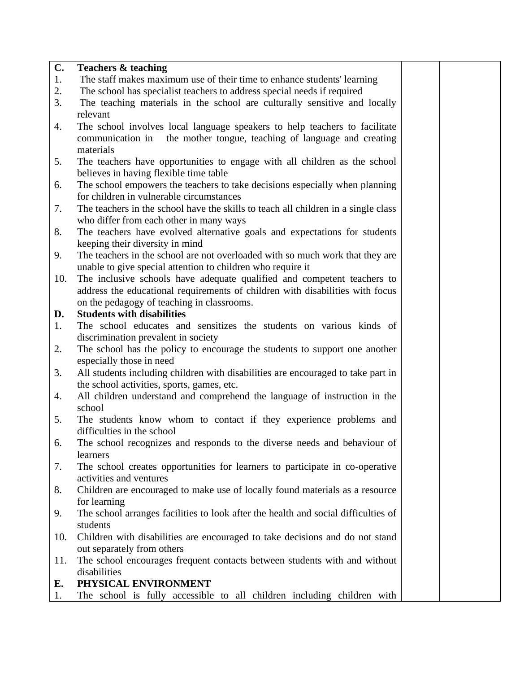# **C. Teachers & teaching**

- 1. The staff makes maximum use of their time to enhance students' learning
- 2. The school has specialist teachers to address special needs if required
- 3. The teaching materials in the school are culturally sensitive and locally relevant
- 4. The school involves local language speakers to help teachers to facilitate communication in the mother tongue, teaching of language and creating materials
- 5. The teachers have opportunities to engage with all children as the school believes in having flexible time table
- 6. The school empowers the teachers to take decisions especially when planning for children in vulnerable circumstances
- 7. The teachers in the school have the skills to teach all children in a single class who differ from each other in many ways
- 8. The teachers have evolved alternative goals and expectations for students keeping their diversity in mind
- 9. The teachers in the school are not overloaded with so much work that they are unable to give special attention to children who require it
- 10. The inclusive schools have adequate qualified and competent teachers to address the educational requirements of children with disabilities with focus on the pedagogy of teaching in classrooms.

# **D. Students with disabilities**

- 1. The school educates and sensitizes the students on various kinds of discrimination prevalent in society
- 2. The school has the policy to encourage the students to support one another especially those in need
- 3. All students including children with disabilities are encouraged to take part in the school activities, sports, games, etc.
- 4. All children understand and comprehend the language of instruction in the school
- 5. The students know whom to contact if they experience problems and difficulties in the school
- 6. The school recognizes and responds to the diverse needs and behaviour of learners
- 7. The school creates opportunities for learners to participate in co-operative activities and ventures
- 8. Children are encouraged to make use of locally found materials as a resource for learning
- 9. The school arranges facilities to look after the health and social difficulties of students
- 10. Children with disabilities are encouraged to take decisions and do not stand out separately from others
- 11. The school encourages frequent contacts between students with and without disabilities
- **E. PHYSICAL ENVIRONMENT**
- 1. The school is fully accessible to all children including children with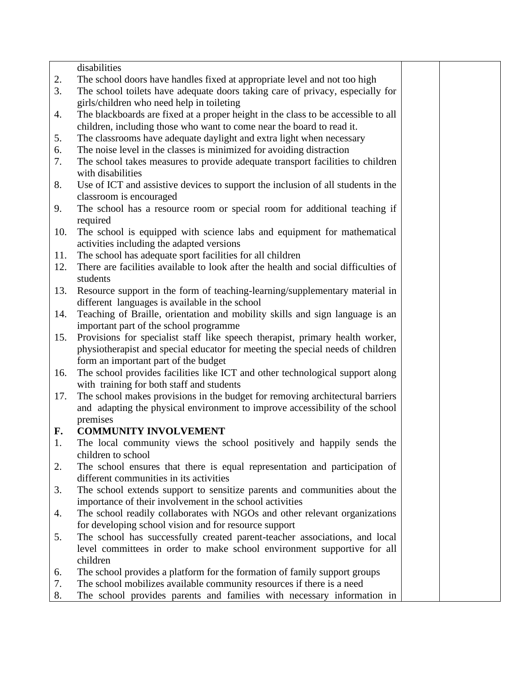disabilities

- 2. The school doors have handles fixed at appropriate level and not too high
- 3. The school toilets have adequate doors taking care of privacy, especially for girls/children who need help in toileting
- 4. The blackboards are fixed at a proper height in the class to be accessible to all children, including those who want to come near the board to read it.
- 5. The classrooms have adequate daylight and extra light when necessary
- 6. The noise level in the classes is minimized for avoiding distraction
- 7. The school takes measures to provide adequate transport facilities to children with disabilities
- 8. Use of ICT and assistive devices to support the inclusion of all students in the classroom is encouraged
- 9. The school has a resource room or special room for additional teaching if required
- 10. The school is equipped with science labs and equipment for mathematical activities including the adapted versions
- 11. The school has adequate sport facilities for all children
- 12. There are facilities available to look after the health and social difficulties of students
- 13. Resource support in the form of teaching-learning/supplementary material in different languages is available in the school
- 14. Teaching of Braille, orientation and mobility skills and sign language is an important part of the school programme
- 15. Provisions for specialist staff like speech therapist, primary health worker, physiotherapist and special educator for meeting the special needs of children form an important part of the budget
- 16. The school provides facilities like ICT and other technological support along with training for both staff and students
- 17. The school makes provisions in the budget for removing architectural barriers and adapting the physical environment to improve accessibility of the school premises

# **F. COMMUNITY INVOLVEMENT**

- 1. The local community views the school positively and happily sends the children to school
- 2. The school ensures that there is equal representation and participation of different communities in its activities
- 3. The school extends support to sensitize parents and communities about the importance of their involvement in the school activities
- 4. The school readily collaborates with NGOs and other relevant organizations for developing school vision and for resource support
- 5. The school has successfully created parent-teacher associations, and local level committees in order to make school environment supportive for all children
- 6. The school provides a platform for the formation of family support groups
- 7. The school mobilizes available community resources if there is a need
- 8. The school provides parents and families with necessary information in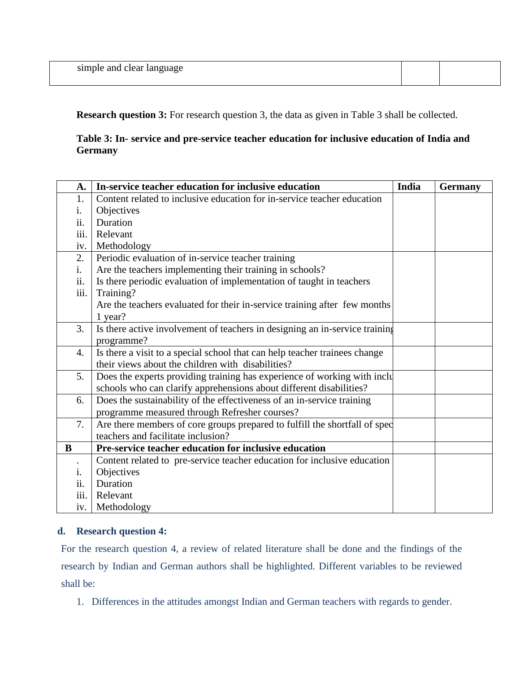| simple and<br>aple and clear language.<br>-эшц. |
|-------------------------------------------------|
|-------------------------------------------------|

**Research question 3:** For research question 3, the data as given in Table 3 shall be collected.

# **Table 3: In- service and pre-service teacher education for inclusive education of India and Germany**

| A.               | In-service teacher education for inclusive education                        | India | <b>Germany</b> |
|------------------|-----------------------------------------------------------------------------|-------|----------------|
| 1.               | Content related to inclusive education for in-service teacher education     |       |                |
| 1.               | Objectives                                                                  |       |                |
| ii.              | Duration                                                                    |       |                |
| iii.             | Relevant                                                                    |       |                |
| iv.              | Methodology                                                                 |       |                |
| 2.               | Periodic evaluation of in-service teacher training                          |       |                |
| i.               | Are the teachers implementing their training in schools?                    |       |                |
| ii.              | Is there periodic evaluation of implementation of taught in teachers        |       |                |
| iii.             | Training?                                                                   |       |                |
|                  | Are the teachers evaluated for their in-service training after few months   |       |                |
|                  | 1 year?                                                                     |       |                |
| 3.               | Is there active involvement of teachers in designing an in-service training |       |                |
|                  | programme?                                                                  |       |                |
| $\overline{4}$ . | Is there a visit to a special school that can help teacher trainees change  |       |                |
|                  | their views about the children with disabilities?                           |       |                |
| 5.               | Does the experts providing training has experience of working with inclu    |       |                |
|                  | schools who can clarify apprehensions about different disabilities?         |       |                |
| 6.               | Does the sustainability of the effectiveness of an in-service training      |       |                |
|                  | programme measured through Refresher courses?                               |       |                |
| 7.               | Are there members of core groups prepared to fulfill the shortfall of spec  |       |                |
|                  | teachers and facilitate inclusion?                                          |       |                |
| B                | Pre-service teacher education for inclusive education                       |       |                |
|                  | Content related to pre-service teacher education for inclusive education    |       |                |
| i.               | Objectives                                                                  |       |                |
| ii.              | Duration                                                                    |       |                |
| iii.             | Relevant                                                                    |       |                |
| iv.              | Methodology                                                                 |       |                |

# **d. Research question 4:**

For the research question 4, a review of related literature shall be done and the findings of the research by Indian and German authors shall be highlighted. Different variables to be reviewed shall be:

1. Differences in the attitudes amongst Indian and German teachers with regards to gender.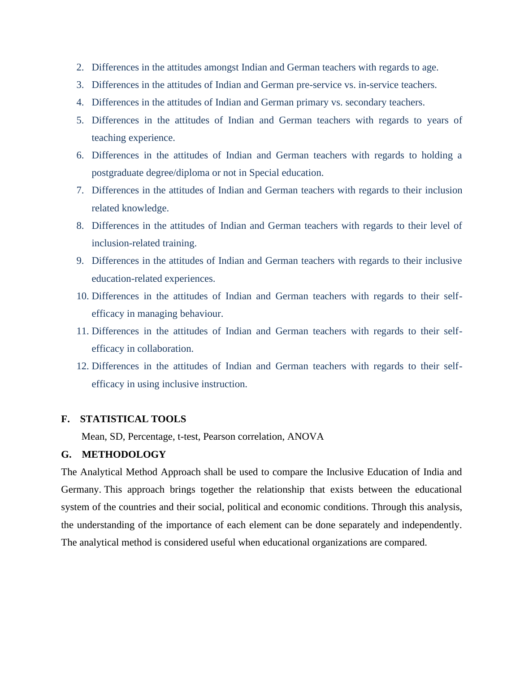- 2. Differences in the attitudes amongst Indian and German teachers with regards to age.
- 3. Differences in the attitudes of Indian and German pre-service vs. in-service teachers.
- 4. Differences in the attitudes of Indian and German primary vs. secondary teachers.
- 5. Differences in the attitudes of Indian and German teachers with regards to years of teaching experience.
- 6. Differences in the attitudes of Indian and German teachers with regards to holding a postgraduate degree/diploma or not in Special education.
- 7. Differences in the attitudes of Indian and German teachers with regards to their inclusion related knowledge.
- 8. Differences in the attitudes of Indian and German teachers with regards to their level of inclusion-related training.
- 9. Differences in the attitudes of Indian and German teachers with regards to their inclusive education-related experiences.
- 10. Differences in the attitudes of Indian and German teachers with regards to their selfefficacy in managing behaviour.
- 11. Differences in the attitudes of Indian and German teachers with regards to their selfefficacy in collaboration.
- 12. Differences in the attitudes of Indian and German teachers with regards to their selfefficacy in using inclusive instruction.

# **F. STATISTICAL TOOLS**

Mean, SD, Percentage, t-test, Pearson correlation, ANOVA

## **G. METHODOLOGY**

The Analytical Method Approach shall be used to compare the Inclusive Education of India and Germany. This approach brings together the relationship that exists between the educational system of the countries and their social, political and economic conditions. Through this analysis, the understanding of the importance of each element can be done separately and independently. The analytical method is considered useful when educational organizations are compared.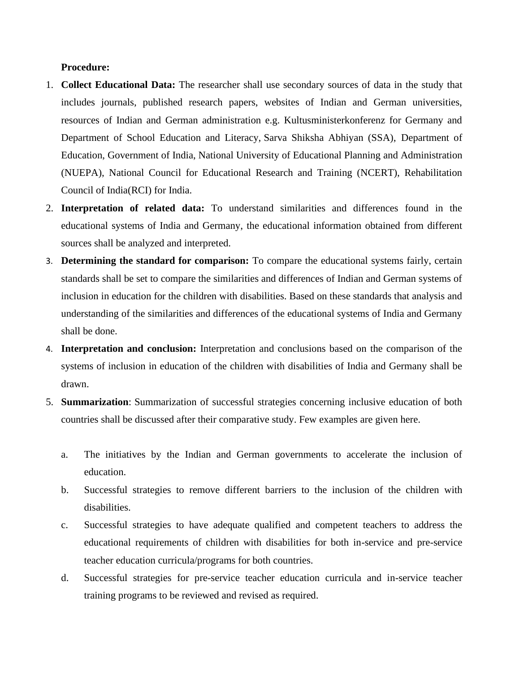#### **Procedure:**

- 1. **Collect Educational Data:** The researcher shall use secondary sources of data in the study that includes journals, published research papers, websites of Indian and German universities, resources of Indian and German administration e.g. Kultusministerkonferenz for Germany and Department of School Education and Literacy, [Sarva Shiksha Abhiyan \(SSA\),](http://ssa.nic.in/) Department of Education, Government of India, [National University of Educational Planning and Administration](http://www.nuepa.org/index.html)  [\(NUEPA\),](http://www.nuepa.org/index.html) National Council for Educational Research and Training (NCERT), Rehabilitation Council of India(RCI) for India.
- 2. **Interpretation of related data:** To understand similarities and differences found in the educational systems of India and Germany, the educational information obtained from different sources shall be analyzed and interpreted.
- 3. **Determining the standard for comparison:** To compare the educational systems fairly, certain standards shall be set to compare the similarities and differences of Indian and German systems of inclusion in education for the children with disabilities. Based on these standards that analysis and understanding of the similarities and differences of the educational systems of India and Germany shall be done.
- 4. **Interpretation and conclusion:** Interpretation and conclusions based on the comparison of the systems of inclusion in education of the children with disabilities of India and Germany shall be drawn.
- 5. **Summarization**: Summarization of successful strategies concerning inclusive education of both countries shall be discussed after their comparative study. Few examples are given here.
	- a. The initiatives by the Indian and German governments to accelerate the inclusion of education.
	- b. Successful strategies to remove different barriers to the inclusion of the children with disabilities.
	- c. Successful strategies to have adequate qualified and competent teachers to address the educational requirements of children with disabilities for both in-service and pre-service teacher education curricula/programs for both countries.
	- d. Successful strategies for pre-service teacher education curricula and in-service teacher training programs to be reviewed and revised as required.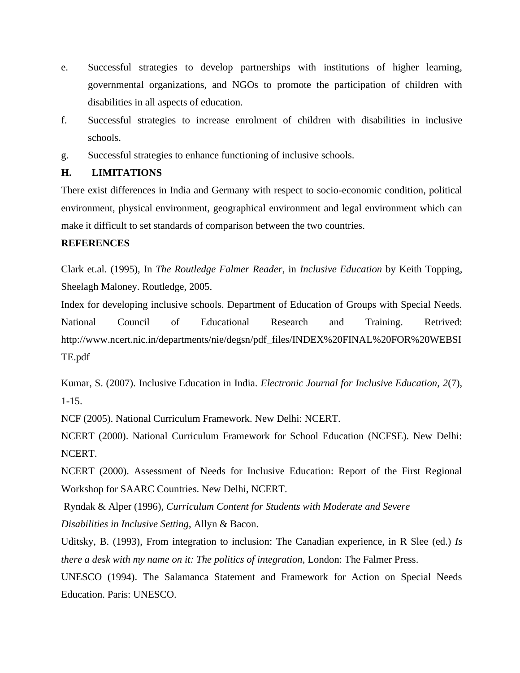- e. Successful strategies to develop partnerships with institutions of higher learning, governmental organizations, and NGOs to promote the participation of children with disabilities in all aspects of education.
- f. Successful strategies to increase enrolment of children with disabilities in inclusive schools.
- g. Successful strategies to enhance functioning of inclusive schools.

# **H. LIMITATIONS**

There exist differences in India and Germany with respect to socio-economic condition, political environment, physical environment, geographical environment and legal environment which can make it difficult to set standards of comparison between the two countries.

# **REFERENCES**

Clark et.al. (1995), In *The Routledge Falmer Reader*, in *Inclusive Education* by Keith Topping, Sheelagh Maloney. Routledge, 2005.

Index for developing inclusive schools. Department of Education of Groups with Special Needs. National Council of Educational Research and Training. Retrived: http://www.ncert.nic.in/departments/nie/degsn/pdf\_files/INDEX%20FINAL%20FOR%20WEBSI TE.pdf

Kumar, S. (2007). Inclusive Education in India. *Electronic Journal for Inclusive Education, 2*(7), 1-15.

NCF (2005). National Curriculum Framework. New Delhi: NCERT.

NCERT (2000). National Curriculum Framework for School Education (NCFSE). New Delhi: NCERT.

NCERT (2000). Assessment of Needs for Inclusive Education: Report of the First Regional Workshop for SAARC Countries. New Delhi, NCERT.

Ryndak & Alper (1996), *Curriculum Content for Students with Moderate and Severe*

*Disabilities in Inclusive Setting*, Allyn & Bacon.

Uditsky, B. (1993), From integration to inclusion: The Canadian experience, in R Slee (ed.) *Is there a desk with my name on it: The politics of integration*, London: The Falmer Press.

UNESCO (1994). The Salamanca Statement and Framework for Action on Special Needs Education. Paris: UNESCO.